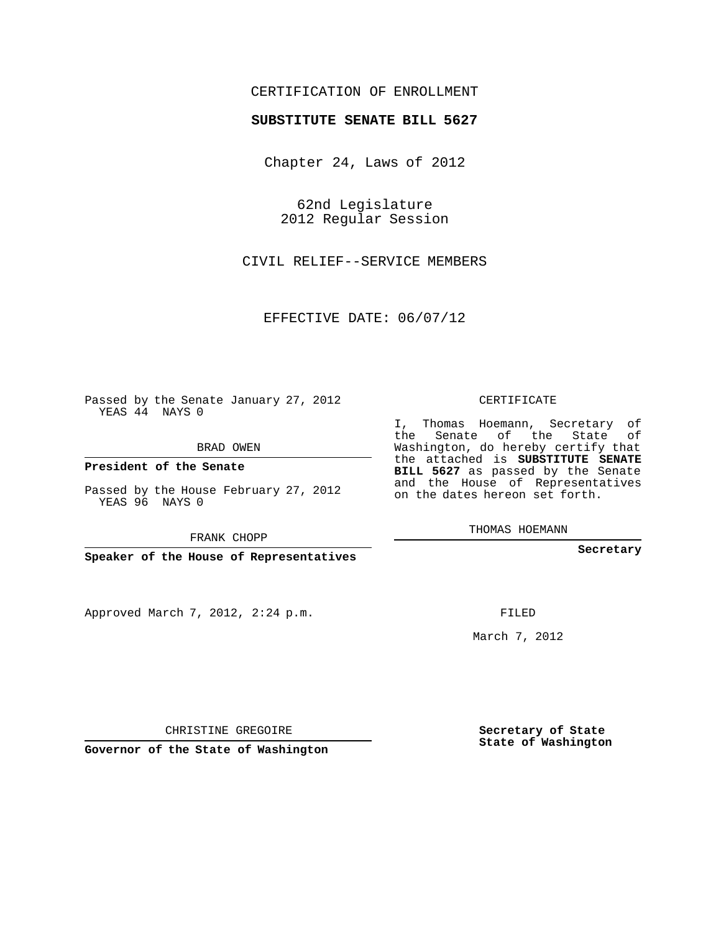## CERTIFICATION OF ENROLLMENT

## **SUBSTITUTE SENATE BILL 5627**

Chapter 24, Laws of 2012

62nd Legislature 2012 Regular Session

CIVIL RELIEF--SERVICE MEMBERS

EFFECTIVE DATE: 06/07/12

Passed by the Senate January 27, 2012 YEAS 44 NAYS 0

BRAD OWEN

**President of the Senate**

Passed by the House February 27, 2012 YEAS 96 NAYS 0

FRANK CHOPP

**Speaker of the House of Representatives**

Approved March 7, 2012, 2:24 p.m.

CERTIFICATE

I, Thomas Hoemann, Secretary of the Senate of the State of Washington, do hereby certify that the attached is **SUBSTITUTE SENATE BILL 5627** as passed by the Senate and the House of Representatives on the dates hereon set forth.

THOMAS HOEMANN

**Secretary**

FILED

March 7, 2012

**Secretary of State State of Washington**

CHRISTINE GREGOIRE

**Governor of the State of Washington**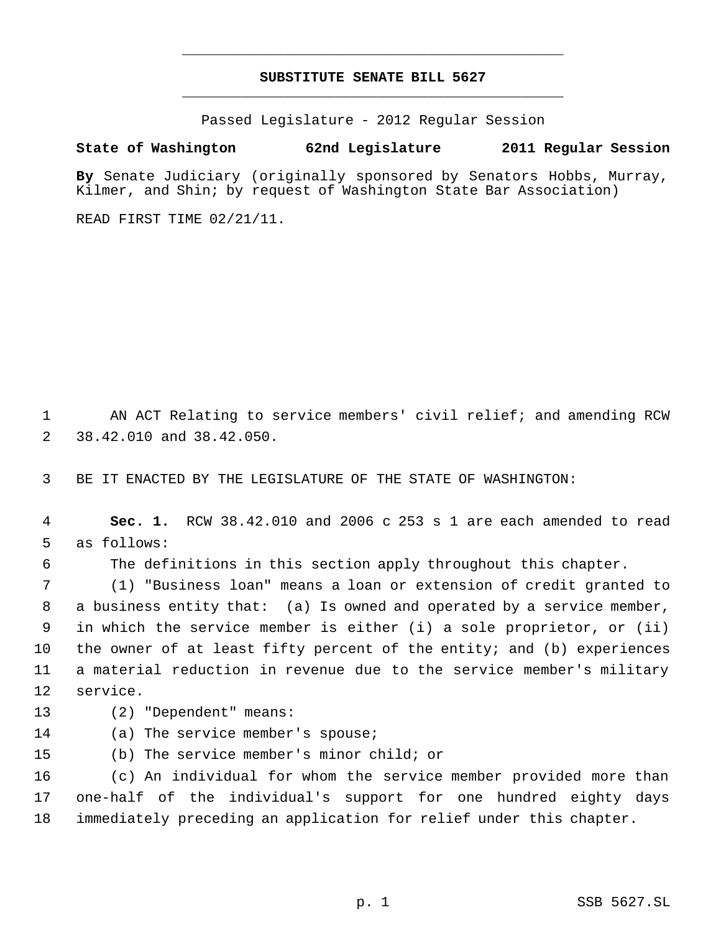## **SUBSTITUTE SENATE BILL 5627** \_\_\_\_\_\_\_\_\_\_\_\_\_\_\_\_\_\_\_\_\_\_\_\_\_\_\_\_\_\_\_\_\_\_\_\_\_\_\_\_\_\_\_\_\_

\_\_\_\_\_\_\_\_\_\_\_\_\_\_\_\_\_\_\_\_\_\_\_\_\_\_\_\_\_\_\_\_\_\_\_\_\_\_\_\_\_\_\_\_\_

Passed Legislature - 2012 Regular Session

## **State of Washington 62nd Legislature 2011 Regular Session**

**By** Senate Judiciary (originally sponsored by Senators Hobbs, Murray, Kilmer, and Shin; by request of Washington State Bar Association)

READ FIRST TIME 02/21/11.

 AN ACT Relating to service members' civil relief; and amending RCW 38.42.010 and 38.42.050.

BE IT ENACTED BY THE LEGISLATURE OF THE STATE OF WASHINGTON:

- **Sec. 1.** RCW 38.42.010 and 2006 c 253 s 1 are each amended to read as follows:
- 

The definitions in this section apply throughout this chapter.

 (1) "Business loan" means a loan or extension of credit granted to a business entity that: (a) Is owned and operated by a service member, in which the service member is either (i) a sole proprietor, or (ii) the owner of at least fifty percent of the entity; and (b) experiences a material reduction in revenue due to the service member's military service.

- (2) "Dependent" means:
- (a) The service member's spouse;
- (b) The service member's minor child; or

 (c) An individual for whom the service member provided more than one-half of the individual's support for one hundred eighty days immediately preceding an application for relief under this chapter.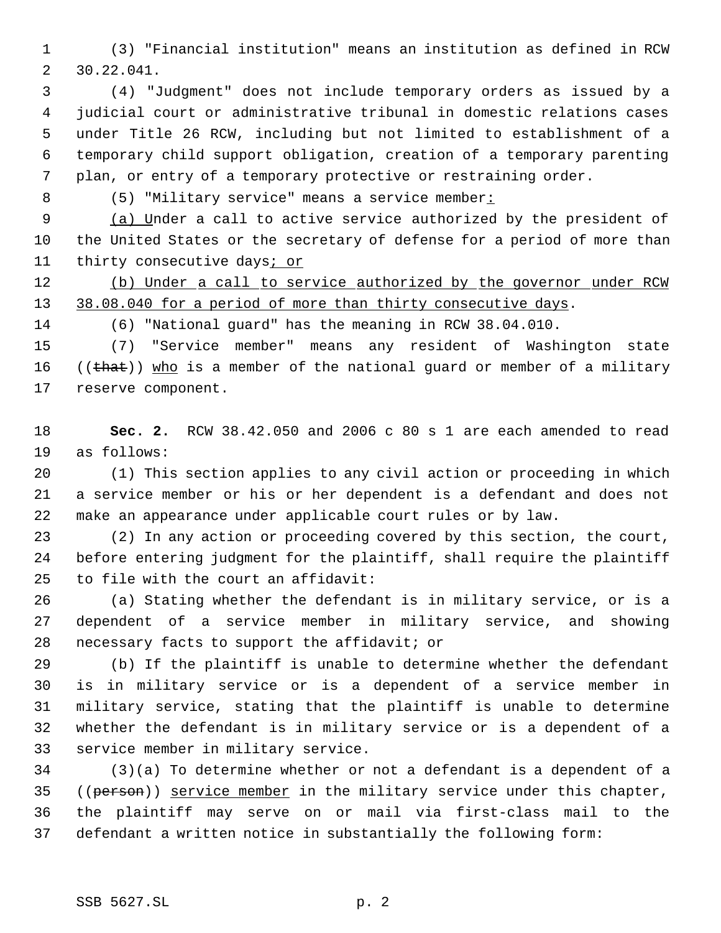(3) "Financial institution" means an institution as defined in RCW 30.22.041.

 (4) "Judgment" does not include temporary orders as issued by a judicial court or administrative tribunal in domestic relations cases under Title 26 RCW, including but not limited to establishment of a temporary child support obligation, creation of a temporary parenting plan, or entry of a temporary protective or restraining order.

8 (5) "Military service" means a service member:

9 (a) Under a call to active service authorized by the president of the United States or the secretary of defense for a period of more than 11 thirty consecutive days<sub>i</sub> or

12 (b) Under a call to service authorized by the governor under RCW 13 38.08.040 for a period of more than thirty consecutive days.

(6) "National guard" has the meaning in RCW 38.04.010.

 (7) "Service member" means any resident of Washington state 16  $((\text{that}))$  who is a member of the national guard or member of a military reserve component.

 **Sec. 2.** RCW 38.42.050 and 2006 c 80 s 1 are each amended to read as follows:

 (1) This section applies to any civil action or proceeding in which a service member or his or her dependent is a defendant and does not make an appearance under applicable court rules or by law.

 (2) In any action or proceeding covered by this section, the court, before entering judgment for the plaintiff, shall require the plaintiff to file with the court an affidavit:

 (a) Stating whether the defendant is in military service, or is a dependent of a service member in military service, and showing necessary facts to support the affidavit; or

 (b) If the plaintiff is unable to determine whether the defendant is in military service or is a dependent of a service member in military service, stating that the plaintiff is unable to determine whether the defendant is in military service or is a dependent of a service member in military service.

 (3)(a) To determine whether or not a defendant is a dependent of a 35 ((person)) service member in the military service under this chapter, the plaintiff may serve on or mail via first-class mail to the defendant a written notice in substantially the following form: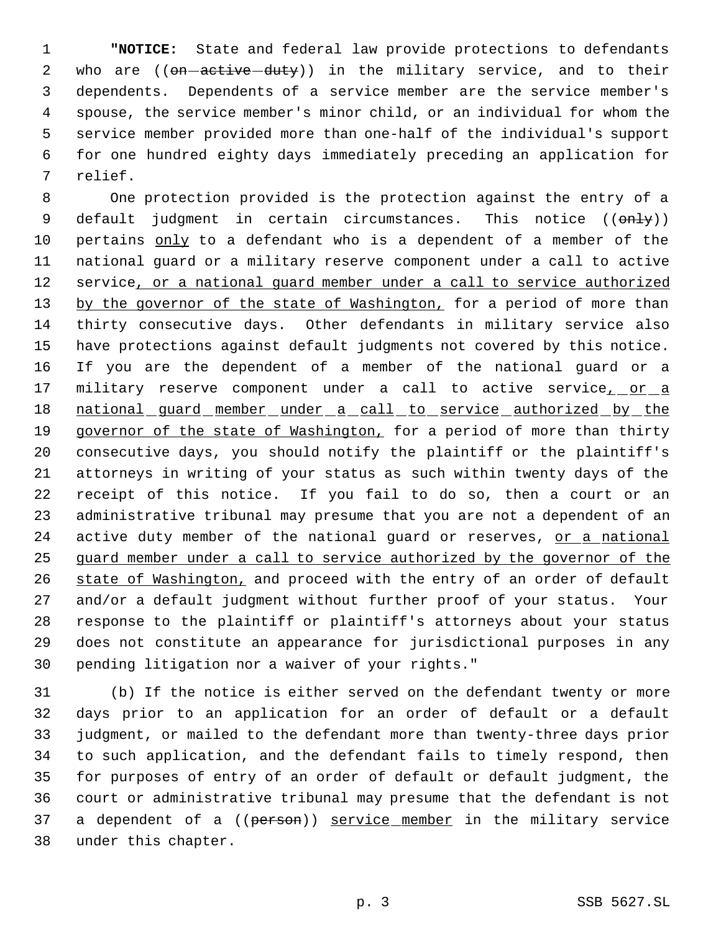**"NOTICE:** State and federal law provide protections to defendants 2 who are ((on-active-duty)) in the military service, and to their dependents. Dependents of a service member are the service member's spouse, the service member's minor child, or an individual for whom the service member provided more than one-half of the individual's support for one hundred eighty days immediately preceding an application for relief.

 One protection provided is the protection against the entry of a 9 default judgment in certain circumstances. This notice ((only)) 10 pertains only to a defendant who is a dependent of a member of the national guard or a military reserve component under a call to active 12 service, or a national quard member under a call to service authorized 13 by the governor of the state of Washington, for a period of more than thirty consecutive days. Other defendants in military service also have protections against default judgments not covered by this notice. If you are the dependent of a member of the national guard or a 17 military reserve component under a call to active service<sub>1</sub> or a 18 national guard member under a call to service authorized by the 19 governor of the state of Washington, for a period of more than thirty consecutive days, you should notify the plaintiff or the plaintiff's attorneys in writing of your status as such within twenty days of the receipt of this notice. If you fail to do so, then a court or an administrative tribunal may presume that you are not a dependent of an 24 active duty member of the national guard or reserves, or a national guard member under a call to service authorized by the governor of the 26 state of Washington, and proceed with the entry of an order of default and/or a default judgment without further proof of your status. Your response to the plaintiff or plaintiff's attorneys about your status does not constitute an appearance for jurisdictional purposes in any pending litigation nor a waiver of your rights."

 (b) If the notice is either served on the defendant twenty or more days prior to an application for an order of default or a default judgment, or mailed to the defendant more than twenty-three days prior to such application, and the defendant fails to timely respond, then for purposes of entry of an order of default or default judgment, the court or administrative tribunal may presume that the defendant is not 37 a dependent of a ((person)) service member in the military service under this chapter.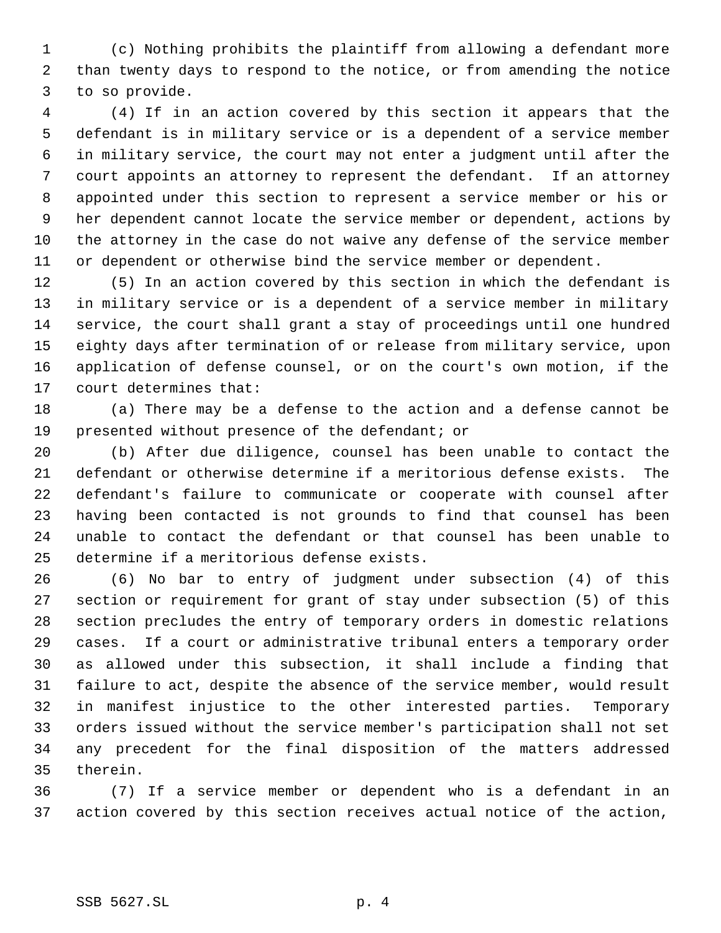(c) Nothing prohibits the plaintiff from allowing a defendant more than twenty days to respond to the notice, or from amending the notice to so provide.

 (4) If in an action covered by this section it appears that the defendant is in military service or is a dependent of a service member in military service, the court may not enter a judgment until after the court appoints an attorney to represent the defendant. If an attorney appointed under this section to represent a service member or his or her dependent cannot locate the service member or dependent, actions by the attorney in the case do not waive any defense of the service member or dependent or otherwise bind the service member or dependent.

 (5) In an action covered by this section in which the defendant is in military service or is a dependent of a service member in military service, the court shall grant a stay of proceedings until one hundred eighty days after termination of or release from military service, upon application of defense counsel, or on the court's own motion, if the court determines that:

 (a) There may be a defense to the action and a defense cannot be presented without presence of the defendant; or

 (b) After due diligence, counsel has been unable to contact the defendant or otherwise determine if a meritorious defense exists. The defendant's failure to communicate or cooperate with counsel after having been contacted is not grounds to find that counsel has been unable to contact the defendant or that counsel has been unable to determine if a meritorious defense exists.

 (6) No bar to entry of judgment under subsection (4) of this section or requirement for grant of stay under subsection (5) of this section precludes the entry of temporary orders in domestic relations cases. If a court or administrative tribunal enters a temporary order as allowed under this subsection, it shall include a finding that failure to act, despite the absence of the service member, would result in manifest injustice to the other interested parties. Temporary orders issued without the service member's participation shall not set any precedent for the final disposition of the matters addressed therein.

 (7) If a service member or dependent who is a defendant in an action covered by this section receives actual notice of the action,